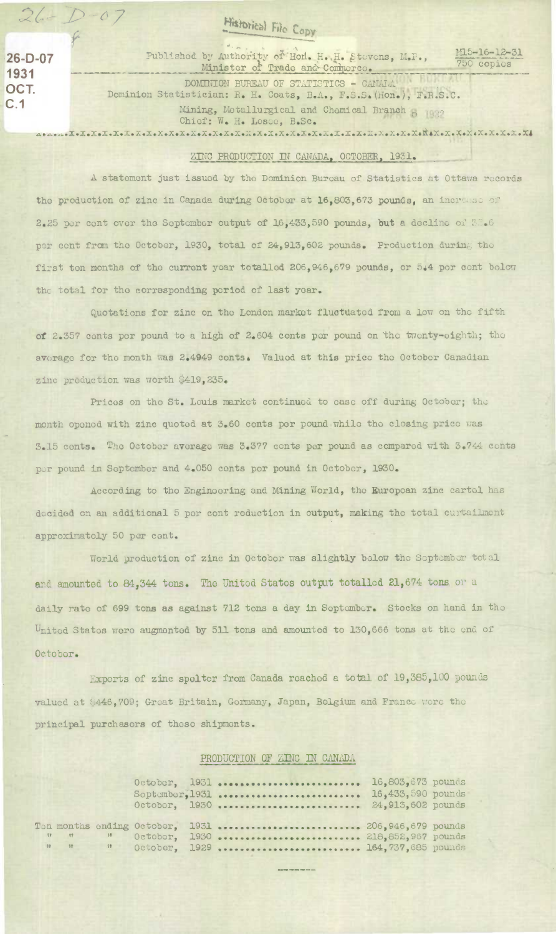## **Historical File Copy**

OCT.

 $26 - D - 07$ 

**26-D-07** Publishod by Authority of Hon. H.H. Stevens, M.P., 1931 Minister of Trade and Comporce. 750 copies

1115-16-12-31

DOMINION BUREAU OF STATISTICS - CANALA Dominion Statistician: R. H. Coats, B.A., F.S.3. (Hon.), F.R.S.C. C.1 Mining, Motallurgical and Chemical Branch Chief: W. H. Losec, B.Sc. 

## ZINC PRODUCTION IN CANADA, OCTOBER, 1931.

A statement just issued by the Dominion Bureau of **Statistics at** Ottawa records the production of zinc in Canada during October at 16,803,673 pounds, an increase of 2.25 per cent over the September output of 16,433,590 pounds, but a decline of  $50.6$ per cent from the October, 1930, total of 24,913,602 pounds. Production during the first ton months of the current year totalled 206,946,679 pounds, or 5.4 per cent bolow the total for the corresponding period of last year.

Quotations for zinc on the London market fluctuated from a low on the fifth of 2.357 cents per pound to a high of 2.604 cents per pound on the twenty-eighth; the average for the month was 2.4949 conts. Valued at this price the October Canadian zinc production was worth \$419,235.

Prices on the St. Louis market continued to ease off during Octobor; the month openod with zinc quoted at 3.60 conts per pound while the closing price was 3.15 cents. Tho October average **was** 3.377 cents per pound as comparod with 3.744 conts per pound in September and 4.050 conts per pound in October, 1930.

According to the Engineering and Mining World, the European zinc cartel has decided on an additional 5 per cont reduction in output, making the total curtailment approximatoly 50 per cent.

World production of zinc in October was slightly below the September total and amounted to 84,344 tons. The Unitod Statos output totalled 21,674 tons or a daily rate of 699 tons as against 712 tons a day in September. Stocks on hand in the United States were augmented by 511 tons and amounted to 130,666 tons at the end of Octobor.

Exports of zinc spoltor from Canada reached a total of 19,385,100 pounds valued at \$446,709; Great Britain, Gormany, Japan, Bolgium and France wore the principal purchasors of these shipments.

## PRODUCTION OF ZINC IN CANADA

|  |                | October, 1931  16,803,673 pounds<br>Soptember, 1931  16,433,590 pounds<br>October, 1930  24,913,602 pounds |  |
|--|----------------|------------------------------------------------------------------------------------------------------------|--|
|  | n n n October, | Ton months ending October, 1931  206,946,679 pounds<br>1930  218,852,967 pounds                            |  |